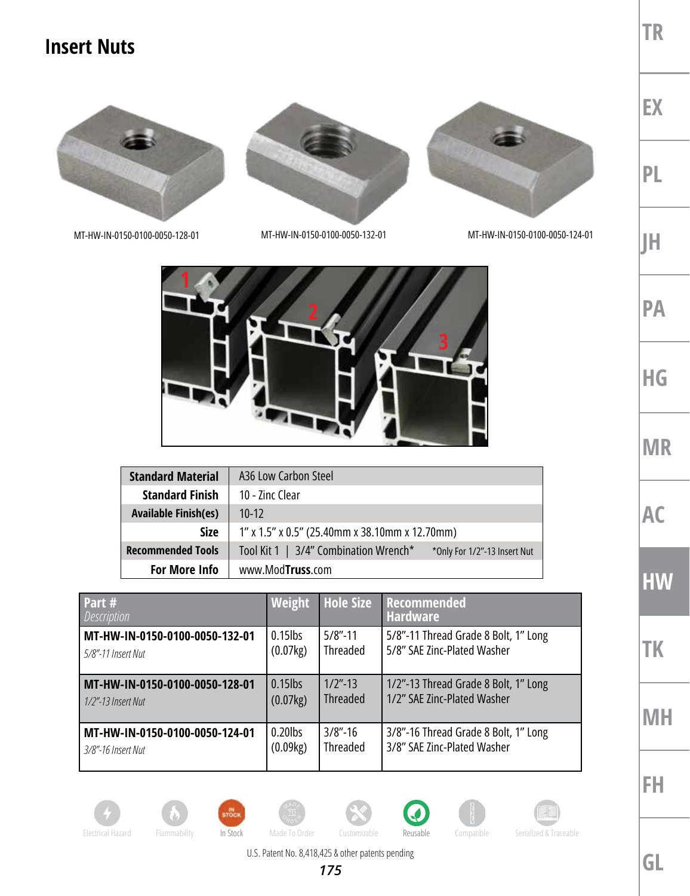## **Insert Nuts**



MT-HW-IN-0150-0100-0050-128-01 MT-HW-IN-0150-0100-0050-132-01 MT-HW-IN-0150-0100-0050-124-01



| <b>Standard Material</b>    | A36 Low Carbon Steel                                                  |  |  |
|-----------------------------|-----------------------------------------------------------------------|--|--|
| <b>Standard Finish</b>      | 10 - Zinc Clear                                                       |  |  |
| <b>Available Finish(es)</b> | $10-12$                                                               |  |  |
| <b>Size</b>                 | $1''$ x 1.5" x 0.5" (25.40mm x 38.10mm x 12.70mm)                     |  |  |
| <b>Recommended Tools</b>    | Tool Kit 1   3/4" Combination Wrench*<br>*Only For 1/2"-13 Insert Nut |  |  |
| For More Info               | www.ModTruss.com                                                      |  |  |

| Part #<br><i>Description</i>   | Weight     | <b>Hole Size</b> | Recommended<br><b>Hardware</b>       |
|--------------------------------|------------|------------------|--------------------------------------|
| MT-HW-IN-0150-0100-0050-132-01 | $0.15$ lbs | $5/8$ "-11       | 5/8"-11 Thread Grade 8 Bolt, 1" Long |
| 5/8"-11 Insert Nut             | (0.07kg)   | Threaded         | 5/8" SAE Zinc-Plated Washer          |
| MT-HW-IN-0150-0100-0050-128-01 | $0.15$ lbs | $1/2$ "-13       | 1/2"-13 Thread Grade 8 Bolt, 1" Long |
| $1/2$ "-13 Insert Nut          | (0.07kg)   | <b>Threaded</b>  | 1/2" SAE Zinc-Plated Washer          |
| MT-HW-IN-0150-0100-0050-124-01 | $0.20$ lbs | $3/8$ "-16       | 3/8"-16 Thread Grade 8 Bolt, 1" Long |
| 3/8"-16 Insert Nut             | (0.09kg)   | <b>Threaded</b>  | 3/8" SAE Zinc-Plated Washer          |

**EX**

**JH**

**PA**

**HG**

**MR**

**AC**

**HW**

**TK**

**TR**

**PL**

**MH**

**FH**















U.S. Patent No. 8,418,425 & other patents pending

*175*

**GL**